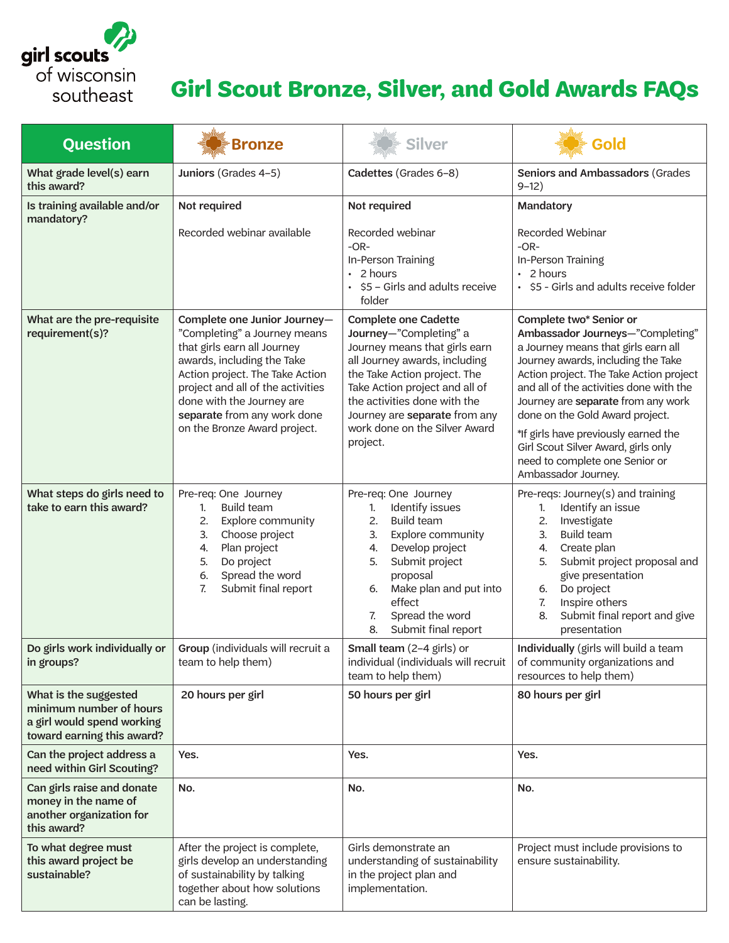

## **Girl Scout Bronze, Silver, and Gold Awards FAQs**

| <b>Question</b>                                                                                              | Bronze                                                                                                                                                                                                                                                                                        | <b>Silver</b>                                                                                                                                                                                                                                                                                           | Gold                                                                                                                                                                                                                                                                                                                                                                                                                                            |
|--------------------------------------------------------------------------------------------------------------|-----------------------------------------------------------------------------------------------------------------------------------------------------------------------------------------------------------------------------------------------------------------------------------------------|---------------------------------------------------------------------------------------------------------------------------------------------------------------------------------------------------------------------------------------------------------------------------------------------------------|-------------------------------------------------------------------------------------------------------------------------------------------------------------------------------------------------------------------------------------------------------------------------------------------------------------------------------------------------------------------------------------------------------------------------------------------------|
| What grade level(s) earn<br>this award?                                                                      | Juniors (Grades 4-5)                                                                                                                                                                                                                                                                          | Cadettes (Grades 6-8)                                                                                                                                                                                                                                                                                   | <b>Seniors and Ambassadors (Grades</b><br>$9 - 12)$                                                                                                                                                                                                                                                                                                                                                                                             |
| Is training available and/or<br>mandatory?                                                                   | Not required                                                                                                                                                                                                                                                                                  | Not required                                                                                                                                                                                                                                                                                            | Mandatory                                                                                                                                                                                                                                                                                                                                                                                                                                       |
|                                                                                                              | Recorded webinar available                                                                                                                                                                                                                                                                    | Recorded webinar<br>$-OR-$<br>In-Person Training<br>$\cdot$ 2 hours<br>• \$5 - Girls and adults receive<br>folder                                                                                                                                                                                       | Recorded Webinar<br>$-OR-$<br>In-Person Training<br>$\cdot$ 2 hours<br>• \$5 - Girls and adults receive folder                                                                                                                                                                                                                                                                                                                                  |
| What are the pre-requisite<br>requirement(s)?                                                                | Complete one Junior Journey-<br>"Completing" a Journey means<br>that girls earn all Journey<br>awards, including the Take<br>Action project. The Take Action<br>project and all of the activities<br>done with the Journey are<br>separate from any work done<br>on the Bronze Award project. | <b>Complete one Cadette</b><br>Journey-"Completing" a<br>Journey means that girls earn<br>all Journey awards, including<br>the Take Action project. The<br>Take Action project and all of<br>the activities done with the<br>Journey are separate from any<br>work done on the Silver Award<br>project. | Complete two* Senior or<br>Ambassador Journeys-"Completing"<br>a Journey means that girls earn all<br>Journey awards, including the Take<br>Action project. The Take Action project<br>and all of the activities done with the<br>Journey are separate from any work<br>done on the Gold Award project.<br>*If girls have previously earned the<br>Girl Scout Silver Award, girls only<br>need to complete one Senior or<br>Ambassador Journey. |
| What steps do girls need to<br>take to earn this award?                                                      | Pre-req: One Journey<br><b>Build team</b><br>1.<br>2.<br>Explore community<br>3.<br>Choose project<br>Plan project<br>4.<br>5.<br>Do project<br>Spread the word<br>6.<br>Submit final report<br>7.                                                                                            | Pre-req: One Journey<br>Identify issues<br>1.<br>2.<br><b>Build team</b><br>3.<br>Explore community<br>Develop project<br>4.<br>Submit project<br>5.<br>proposal<br>Make plan and put into<br>6.<br>effect<br>7.<br>Spread the word<br>Submit final report<br>8.                                        | Pre-reqs: Journey(s) and training<br>Identify an issue<br>1.<br>2.<br>Investigate<br><b>Build team</b><br>3.<br>Create plan<br>4.<br>5.<br>Submit project proposal and<br>give presentation<br>Do project<br>6.<br>Inspire others<br>7.<br>Submit final report and give<br>8.<br>presentation                                                                                                                                                   |
| Do girls work individually or<br>in groups?                                                                  | Group (individuals will recruit a<br>team to help them)                                                                                                                                                                                                                                       | Small team (2-4 girls) or<br>individual (individuals will recruit<br>team to help them)                                                                                                                                                                                                                 | Individually (girls will build a team<br>of community organizations and<br>resources to help them)                                                                                                                                                                                                                                                                                                                                              |
| What is the suggested<br>minimum number of hours<br>a girl would spend working<br>toward earning this award? | 20 hours per girl                                                                                                                                                                                                                                                                             | 50 hours per girl                                                                                                                                                                                                                                                                                       | 80 hours per girl                                                                                                                                                                                                                                                                                                                                                                                                                               |
| Can the project address a<br>need within Girl Scouting?                                                      | Yes.                                                                                                                                                                                                                                                                                          | Yes.                                                                                                                                                                                                                                                                                                    | Yes.                                                                                                                                                                                                                                                                                                                                                                                                                                            |
| Can girls raise and donate<br>money in the name of<br>another organization for<br>this award?                | No.                                                                                                                                                                                                                                                                                           | No.                                                                                                                                                                                                                                                                                                     | No.                                                                                                                                                                                                                                                                                                                                                                                                                                             |
| To what degree must<br>this award project be<br>sustainable?                                                 | After the project is complete,<br>girls develop an understanding<br>of sustainability by talking<br>together about how solutions<br>can be lasting.                                                                                                                                           | Girls demonstrate an<br>understanding of sustainability<br>in the project plan and<br>implementation.                                                                                                                                                                                                   | Project must include provisions to<br>ensure sustainability.                                                                                                                                                                                                                                                                                                                                                                                    |